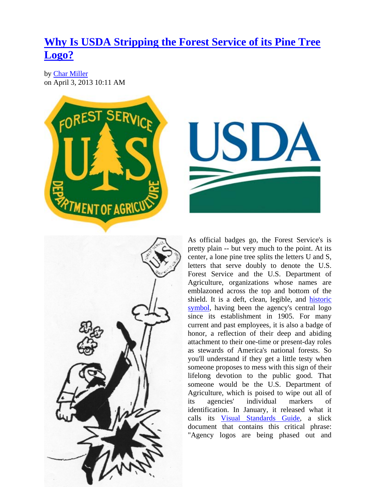## **[Why Is USDA Stripping the Forest Service of its Pine Tree](http://www.kcet.org/news/the_back_forty/commentary/golden-green/-as-official-badges-go.html)  [Logo?](http://www.kcet.org/news/the_back_forty/commentary/golden-green/-as-official-badges-go.html)**

by [Char Miller](http://www.kcet.org/user/profile/cmiller) on April 3, 2013 10:11 AM







As official badges go, the Forest Service's is pretty plain -- but very much to the point. At its center, a lone pine tree splits the letters U and S, letters that serve doubly to denote the U.S. Forest Service and the U.S. Department of Agriculture, organizations whose names are emblazoned across the top and bottom of the shield. It is a deft, clean, legible, and [historic](http://www.foresthistory.org/publications/joffh/foresterswear.pdf)  [symbol](http://www.foresthistory.org/publications/joffh/foresterswear.pdf), having been the agency's central logo since its establishment in 1905. For many current and past employees, it is also a badge of honor, a reflection of their deep and abiding attachment to their one-time or present-day roles as stewards of America's national forests. So you'll understand if they get a little testy when someone proposes to mess with this sign of their lifelong devotion to the public good. That someone would be the U.S. Department of Agriculture, which is poised to wipe out all of its agencies' individual markers of identification. In January, it released what it calls its [Visual Standards Guide](http://www.usda.gov/documents/visual-standards-guide-january-2013.pdf), a slick document that contains this critical phrase: "Agency logos are being phased out and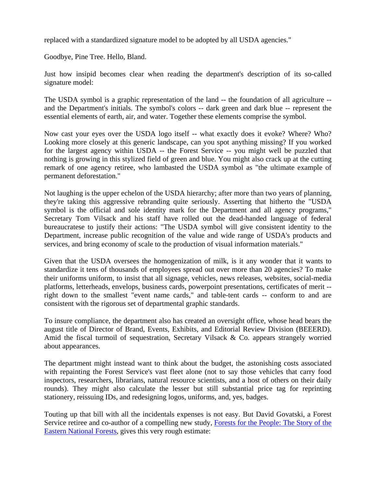replaced with a standardized signature model to be adopted by all USDA agencies."

Goodbye, Pine Tree. Hello, Bland.

Just how insipid becomes clear when reading the department's description of its so-called signature model:

The USDA symbol is a graphic representation of the land -- the foundation of all agriculture - and the Department's initials. The symbol's colors -- dark green and dark blue -- represent the essential elements of earth, air, and water. Together these elements comprise the symbol.

Now cast your eyes over the USDA logo itself -- what exactly does it evoke? Where? Who? Looking more closely at this generic landscape, can you spot anything missing? If you worked for the largest agency within USDA -- the Forest Service -- you might well be puzzled that nothing is growing in this stylized field of green and blue. You might also crack up at the cutting remark of one agency retiree, who lambasted the USDA symbol as "the ultimate example of permanent deforestation."

Not laughing is the upper echelon of the USDA hierarchy; after more than two years of planning, they're taking this aggressive rebranding quite seriously. Asserting that hitherto the "USDA symbol is the official and sole identity mark for the Department and all agency programs," Secretary Tom Vilsack and his staff have rolled out the dead-handed language of federal bureaucratese to justify their actions: "The USDA symbol will give consistent identity to the Department, increase public recognition of the value and wide range of USDA's products and services, and bring economy of scale to the production of visual information materials."

Given that the USDA oversees the homogenization of milk, is it any wonder that it wants to standardize it tens of thousands of employees spread out over more than 20 agencies? To make their uniforms uniform, to insist that all signage, vehicles, news releases, websites, social-media platforms, letterheads, envelops, business cards, powerpoint presentations, certificates of merit - right down to the smallest "event name cards," and table-tent cards -- conform to and are consistent with the rigorous set of departmental graphic standards.

To insure compliance, the department also has created an oversight office, whose head bears the august title of Director of Brand, Events, Exhibits, and Editorial Review Division (BEEERD). Amid the fiscal turmoil of sequestration, Secretary Vilsack & Co. appears strangely worried about appearances.

The department might instead want to think about the budget, the astonishing costs associated with repainting the Forest Service's vast fleet alone (not to say those vehicles that carry food inspectors, researchers, librarians, natural resource scientists, and a host of others on their daily rounds). They might also calculate the lesser but still substantial price tag for reprinting stationery, reissuing IDs, and redesigning logos, uniforms, and, yes, badges.

Touting up that bill with all the incidentals expenses is not easy. But David Govatski, a Forest Service retiree and co-author of a compelling new study, [Forests for the People: The Story of the](http://islandpress.org/ip/books/book/islandpress/F/bo8208318.html)  [Eastern National Forests,](http://islandpress.org/ip/books/book/islandpress/F/bo8208318.html) gives this very rough estimate: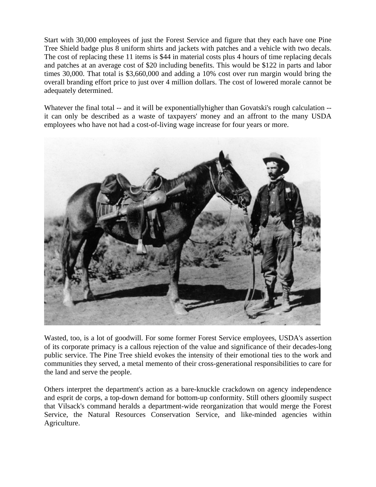Start with 30,000 employees of just the Forest Service and figure that they each have one Pine Tree Shield badge plus 8 uniform shirts and jackets with patches and a vehicle with two decals. The cost of replacing these 11 items is \$44 in material costs plus 4 hours of time replacing decals and patches at an average cost of \$20 including benefits. This would be \$122 in parts and labor times 30,000. That total is \$3,660,000 and adding a 10% cost over run margin would bring the overall branding effort price to just over 4 million dollars. The cost of lowered morale cannot be adequately determined.

Whatever the final total -- and it will be exponentially higher than Govatski's rough calculation -it can only be described as a waste of taxpayers' money and an affront to the many USDA employees who have not had a cost-of-living wage increase for four years or more.



Wasted, too, is a lot of goodwill. For some former Forest Service employees, USDA's assertion of its corporate primacy is a callous rejection of the value and significance of their decades-long public service. The Pine Tree shield evokes the intensity of their emotional ties to the work and communities they served, a metal memento of their cross-generational responsibilities to care for the land and serve the people.

Others interpret the department's action as a bare-knuckle crackdown on agency independence and esprit de corps, a top-down demand for bottom-up conformity. Still others gloomily suspect that Vilsack's command heralds a department-wide reorganization that would merge the Forest Service, the Natural Resources Conservation Service, and like-minded agencies within Agriculture.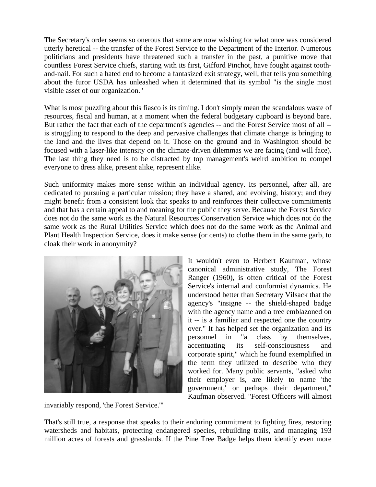The Secretary's order seems so onerous that some are now wishing for what once was considered utterly heretical -- the transfer of the Forest Service to the Department of the Interior. Numerous politicians and presidents have threatened such a transfer in the past, a punitive move that countless Forest Service chiefs, starting with its first, Gifford Pinchot, have fought against toothand-nail. For such a hated end to become a fantasized exit strategy, well, that tells you something about the furor USDA has unleashed when it determined that its symbol "is the single most visible asset of our organization."

What is most puzzling about this fiasco is its timing. I don't simply mean the scandalous waste of resources, fiscal and human, at a moment when the federal budgetary cupboard is beyond bare. But rather the fact that each of the department's agencies -- and the Forest Service most of all - is struggling to respond to the deep and pervasive challenges that climate change is bringing to the land and the lives that depend on it. Those on the ground and in Washington should be focused with a laser-like intensity on the climate-driven dilemmas we are facing (and will face). The last thing they need is to be distracted by top management's weird ambition to compel everyone to dress alike, present alike, represent alike.

Such uniformity makes more sense within an individual agency. Its personnel, after all, are dedicated to pursuing a particular mission; they have a shared, and evolving, history; and they might benefit from a consistent look that speaks to and reinforces their collective commitments and that has a certain appeal to and meaning for the public they serve. Because the Forest Service does not do the same work as the Natural Resources Conservation Service which does not do the same work as the Rural Utilities Service which does not do the same work as the Animal and Plant Health Inspection Service, does it make sense (or cents) to clothe them in the same garb, to cloak their work in anonymity?



invariably respond, 'the Forest Service.'"

It wouldn't even to Herbert Kaufman, whose canonical administrative study, The Forest Ranger (1960), is often critical of the Forest Service's internal and conformist dynamics. He understood better than Secretary Vilsack that the agency's "insigne -- the shield-shaped badge with the agency name and a tree emblazoned on it -- is a familiar and respected one the country over." It has helped set the organization and its personnel in "a class by themselves, accentuating its self-consciousness and corporate spirit," which he found exemplified in the term they utilized to describe who they worked for. Many public servants, "asked who their employer is, are likely to name 'the government,' or perhaps their department," Kaufman observed. "Forest Officers will almost

That's still true, a response that speaks to their enduring commitment to fighting fires, restoring watersheds and habitats, protecting endangered species, rebuilding trails, and managing 193 million acres of forests and grasslands. If the Pine Tree Badge helps them identify even more